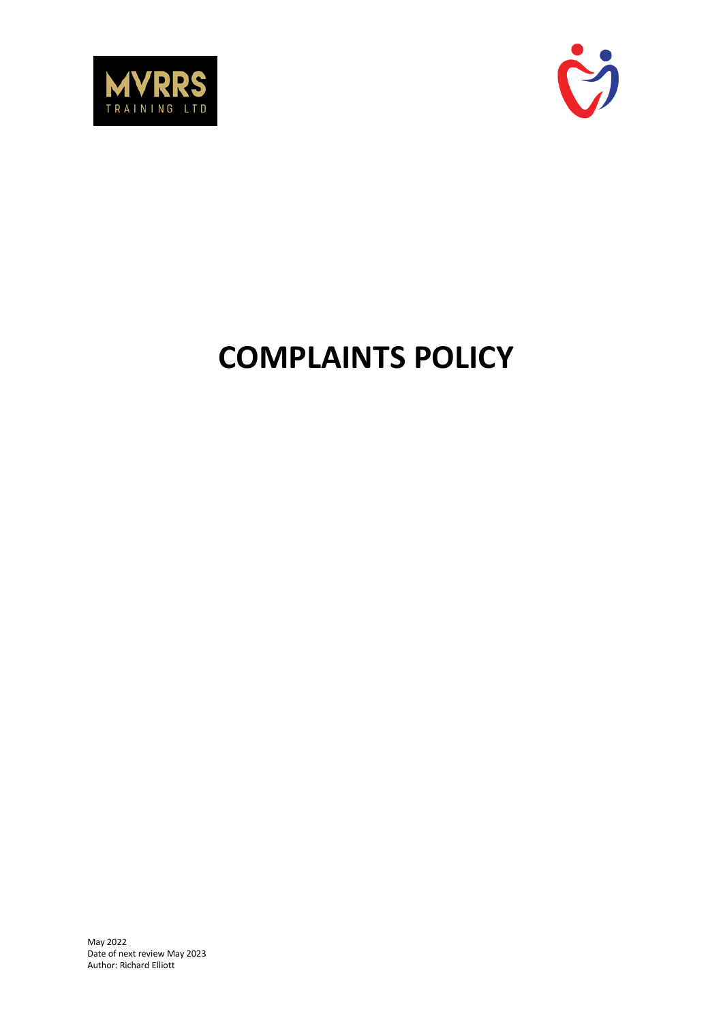



# **COMPLAINTS POLICY**

May 2022 Date of next review May 2023 Author: Richard Elliott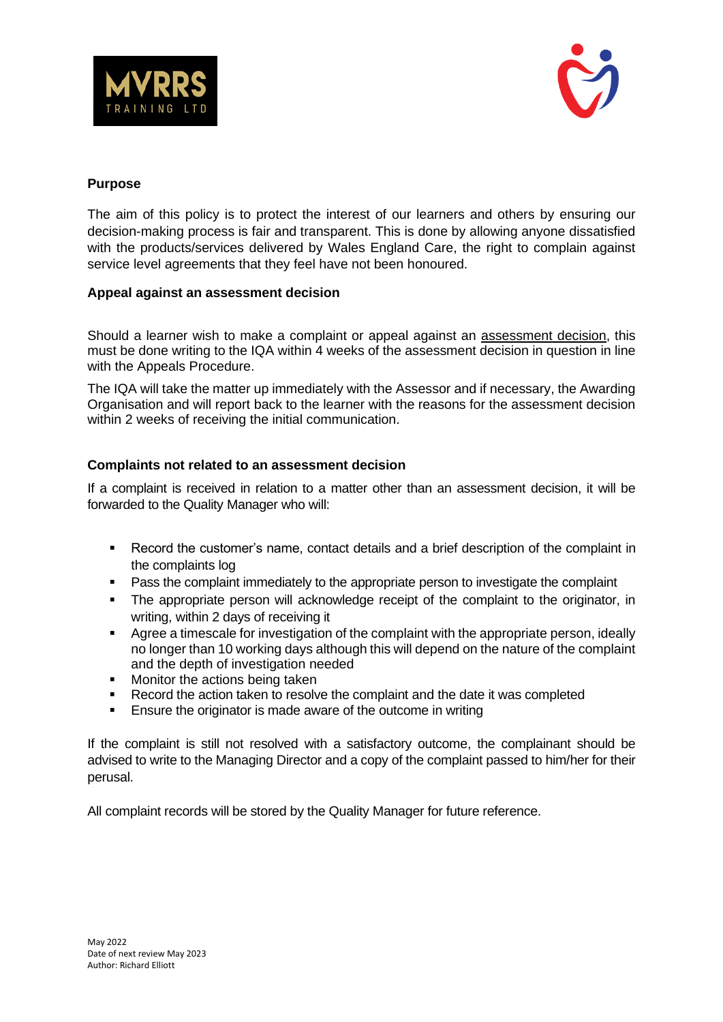



## **Purpose**

The aim of this policy is to protect the interest of our learners and others by ensuring our decision-making process is fair and transparent. This is done by allowing anyone dissatisfied with the products/services delivered by Wales England Care, the right to complain against service level agreements that they feel have not been honoured.

## **Appeal against an assessment decision**

Should a learner wish to make a complaint or appeal against an assessment decision, this must be done writing to the IQA within 4 weeks of the assessment decision in question in line with the Appeals Procedure.

The IQA will take the matter up immediately with the Assessor and if necessary, the Awarding Organisation and will report back to the learner with the reasons for the assessment decision within 2 weeks of receiving the initial communication.

## **Complaints not related to an assessment decision**

If a complaint is received in relation to a matter other than an assessment decision, it will be forwarded to the Quality Manager who will:

- Record the customer's name, contact details and a brief description of the complaint in the complaints log
- Pass the complaint immediately to the appropriate person to investigate the complaint
- The appropriate person will acknowledge receipt of the complaint to the originator, in writing, within 2 days of receiving it
- Agree a timescale for investigation of the complaint with the appropriate person, ideally no longer than 10 working days although this will depend on the nature of the complaint and the depth of investigation needed
- Monitor the actions being taken
- Record the action taken to resolve the complaint and the date it was completed
- Ensure the originator is made aware of the outcome in writing

If the complaint is still not resolved with a satisfactory outcome, the complainant should be advised to write to the Managing Director and a copy of the complaint passed to him/her for their perusal.

All complaint records will be stored by the Quality Manager for future reference.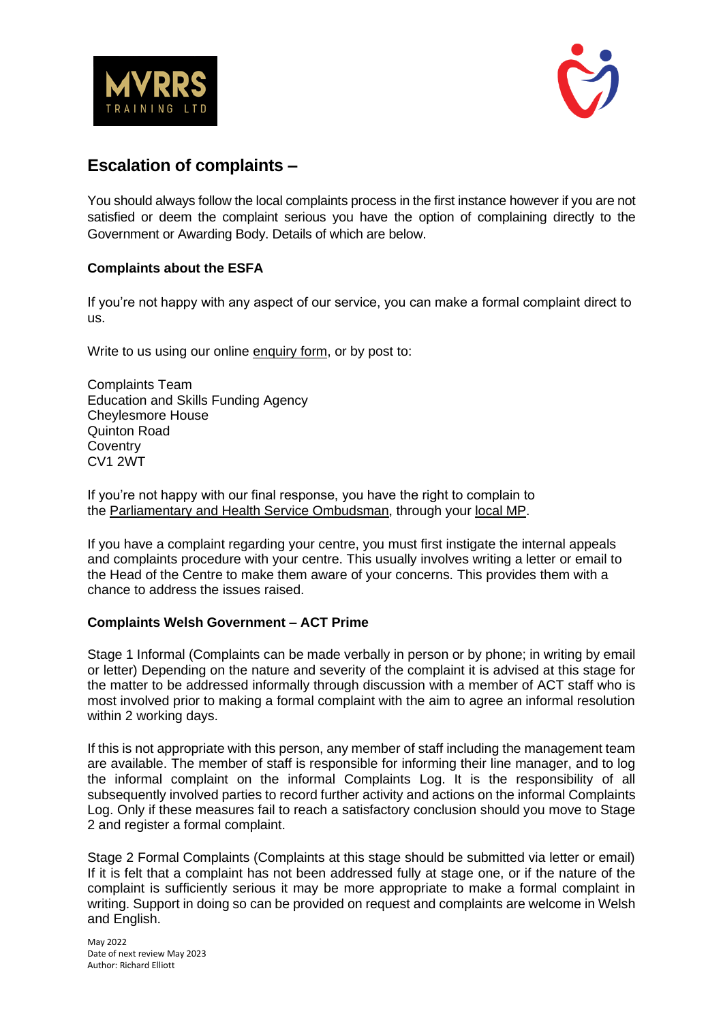



# **Escalation of complaints –**

You should always follow the local complaints process in the first instance however if you are not satisfied or deem the complaint serious you have the option of complaining directly to the Government or Awarding Body. Details of which are below.

## **Complaints about the ESFA**

If you're not happy with any aspect of our service, you can make a formal complaint direct to us.

Write to us using our online [enquiry form,](https://form.education.gov.uk/service/Contact_the_Department_for_Education) or by post to:

Complaints Team Education and Skills Funding Agency Cheylesmore House Quinton Road **Coventry** CV1 2WT

If you're not happy with our final response, you have the right to complain to the [Parliamentary and Health Service Ombudsman,](https://www.ombudsman.org.uk/) through your [local MP.](https://members.parliament.uk/FindYourMP)

If you have a complaint regarding your centre, you must first instigate the internal appeals and complaints procedure with your centre. This usually involves writing a letter or email to the Head of the Centre to make them aware of your concerns. This provides them with a chance to address the issues raised.

### **Complaints Welsh Government – ACT Prime**

Stage 1 Informal (Complaints can be made verbally in person or by phone; in writing by email or letter) Depending on the nature and severity of the complaint it is advised at this stage for the matter to be addressed informally through discussion with a member of ACT staff who is most involved prior to making a formal complaint with the aim to agree an informal resolution within 2 working days.

If this is not appropriate with this person, any member of staff including the management team are available. The member of staff is responsible for informing their line manager, and to log the informal complaint on the informal Complaints Log. It is the responsibility of all subsequently involved parties to record further activity and actions on the informal Complaints Log. Only if these measures fail to reach a satisfactory conclusion should you move to Stage 2 and register a formal complaint.

Stage 2 Formal Complaints (Complaints at this stage should be submitted via letter or email) If it is felt that a complaint has not been addressed fully at stage one, or if the nature of the complaint is sufficiently serious it may be more appropriate to make a formal complaint in writing. Support in doing so can be provided on request and complaints are welcome in Welsh and English.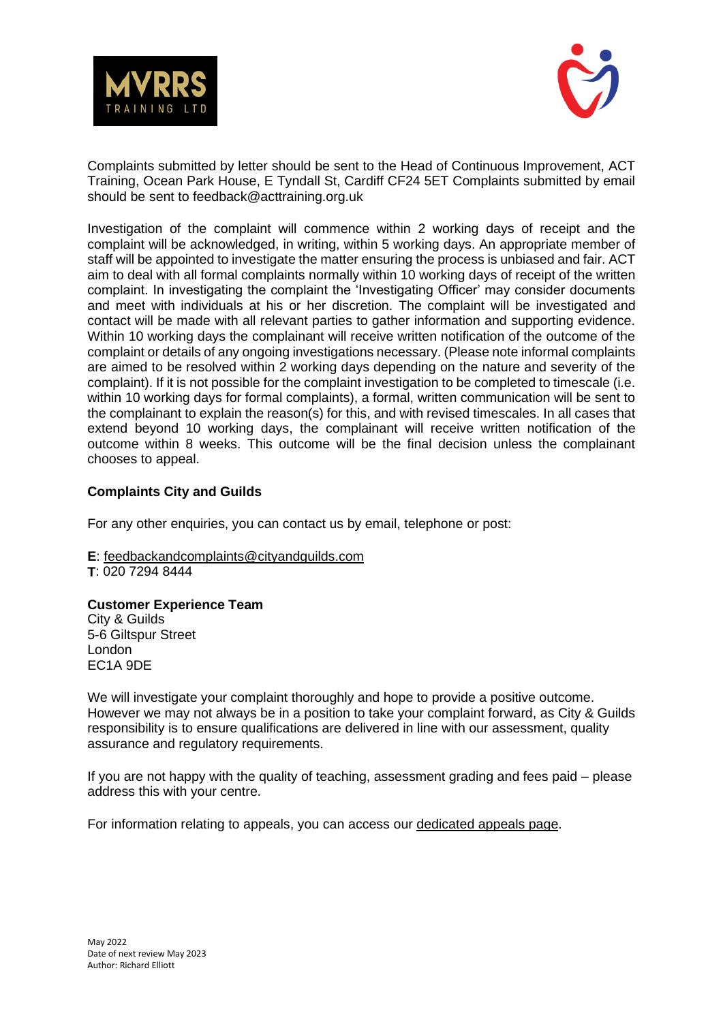



Complaints submitted by letter should be sent to the Head of Continuous Improvement, ACT Training, Ocean Park House, E Tyndall St, Cardiff CF24 5ET Complaints submitted by email should be sent to feedback@acttraining.org.uk

Investigation of the complaint will commence within 2 working days of receipt and the complaint will be acknowledged, in writing, within 5 working days. An appropriate member of staff will be appointed to investigate the matter ensuring the process is unbiased and fair. ACT aim to deal with all formal complaints normally within 10 working days of receipt of the written complaint. In investigating the complaint the 'Investigating Officer' may consider documents and meet with individuals at his or her discretion. The complaint will be investigated and contact will be made with all relevant parties to gather information and supporting evidence. Within 10 working days the complainant will receive written notification of the outcome of the complaint or details of any ongoing investigations necessary. (Please note informal complaints are aimed to be resolved within 2 working days depending on the nature and severity of the complaint). If it is not possible for the complaint investigation to be completed to timescale (i.e. within 10 working days for formal complaints), a formal, written communication will be sent to the complainant to explain the reason(s) for this, and with revised timescales. In all cases that extend beyond 10 working days, the complainant will receive written notification of the outcome within 8 weeks. This outcome will be the final decision unless the complainant chooses to appeal.

## **Complaints City and Guilds**

For any other enquiries, you can contact us by email, telephone or post:

**E**: [feedbackandcomplaints@cityandguilds.com](mailto:feedbackandcomplaints@cityandguilds.com) **T**: 020 7294 8444

### **Customer Experience Team**

City & Guilds 5-6 Giltspur Street London EC1A 9DE

We will investigate your complaint thoroughly and hope to provide a positive outcome. However we may not always be in a position to take your complaint forward, as City & Guilds responsibility is to ensure qualifications are delivered in line with our assessment, quality assurance and regulatory requirements.

If you are not happy with the quality of teaching, assessment grading and fees paid – please address this with your centre.

For information relating to appeals, you can access our [dedicated appeals page.](https://www.cityandguilds.com/delivering-our-qualifications/centre-development/centre-document-library#appeals)